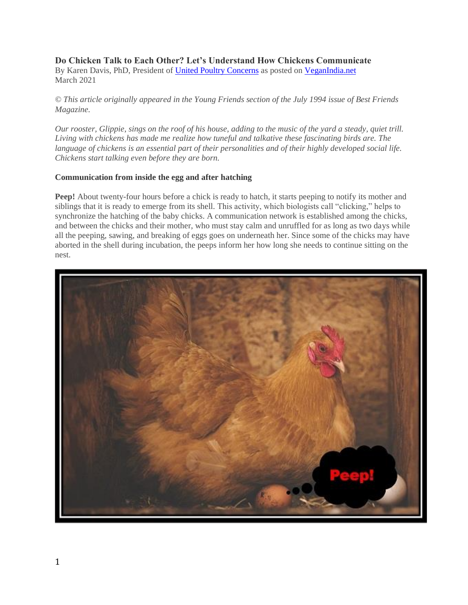# **Do Chicken Talk to Each Other? Let's Understand How Chickens Communicate**

By Karen Davis, PhD, President of United Poultry [Concerns](https://upc-online.org/) as posted on [VeganIndia.net](https://www.veganindia.net/) March 2021

© This article originally appeared in the Young Friends section of the July 1994 issue of Best Friends *Magazine.*

Our rooster, Glippie, sings on the roof of his house, adding to the music of the yard a steady, quiet trill. *Living with chickens has made me realize how tuneful and talkative these fascinating birds are. The* language of chickens is an essential part of their personalities and of their highly developed social life. *Chickens start talking even before they are born.*

#### **Communication from inside the egg and after hatching**

**Peep!** About twenty-four hours before a chick is ready to hatch, it starts peeping to notify its mother and siblings that it is ready to emerge from its shell. This activity, which biologists call "clicking," helps to synchronize the hatching of the baby chicks. A communication network is established among the chicks, and between the chicks and their mother, who must stay calm and unruffled for as long as two days while all the peeping, sawing, and breaking of eggs goes on underneath her. Since some of the chicks may have aborted in the shell during incubation, the peeps inform her how long she needs to continue sitting on the nest.

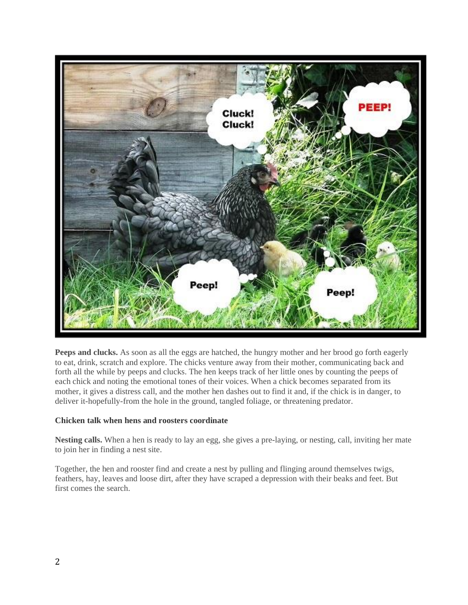

**Peeps and clucks.** As soon as all the eggs are hatched, the hungry mother and her brood go forth eagerly to eat, drink, scratch and explore. The chicks venture away from their mother, communicating back and forth all the while by peeps and clucks. The hen keeps track of her little ones by counting the peeps of each chick and noting the emotional tones of their voices. When a chick becomes separated from its mother, it gives a distress call, and the mother hen dashes out to find it and, if the chick is in danger, to deliver it-hopefully-from the hole in the ground, tangled foliage, or threatening predator.

#### **Chicken talk when hens and roosters coordinate**

**Nesting calls.** When a hen is ready to lay an egg, she gives a pre-laying, or nesting, call, inviting her mate to join her in finding a nest site.

Together, the hen and rooster find and create a nest by pulling and flinging around themselves twigs, feathers, hay, leaves and loose dirt, after they have scraped a depression with their beaks and feet. But first comes the search.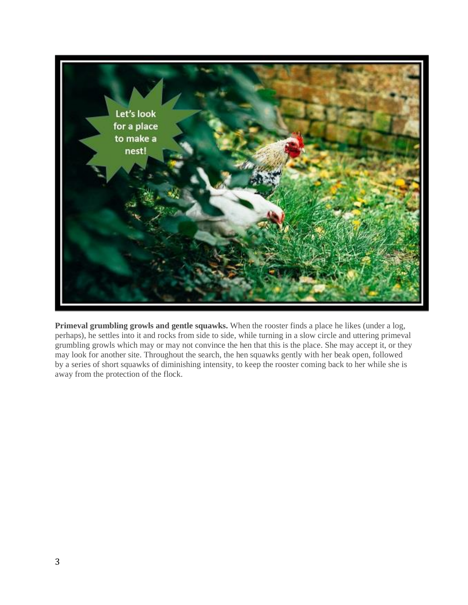

**Primeval grumbling growls and gentle squawks.** When the rooster finds a place he likes (under a log, perhaps), he settles into it and rocks from side to side, while turning in a slow circle and uttering primeval grumbling growls which may or may not convince the hen that this is the place. She may accept it, or they may look for another site. Throughout the search, the hen squawks gently with her beak open, followed by a series of short squawks of diminishing intensity, to keep the rooster coming back to her while she is away from the protection of the flock.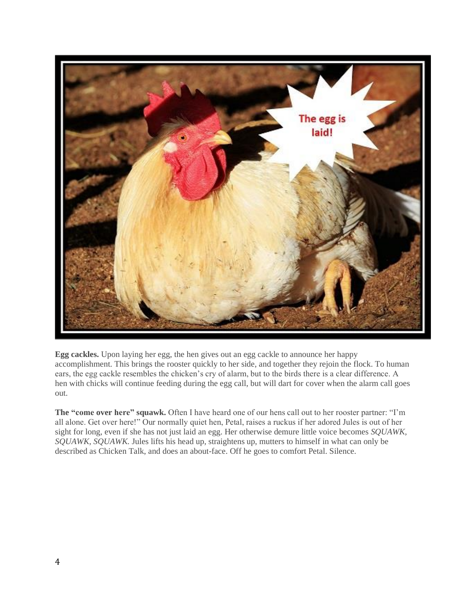

**Egg cackles.** Upon laying her egg, the hen gives out an egg cackle to announce her happy accomplishment. This brings the rooster quickly to her side, and together they rejoin the flock. To human ears, the egg cackle resembles the chicken's cry of alarm, but to the birds there is a clear difference. A hen with chicks will continue feeding during the egg call, but will dart for cover when the alarm call goes out.

**The "come over here" squawk.** Often I have heard one of our hens call out to her rooster partner: "I'm all alone. Get over here!" Our normally quiet hen, Petal, raises a ruckus if her adored Jules is out of her sight for long, even if she has not just laid an egg. Her otherwise demure little voice becomes *SQUAWK, SQUAWK, SQUAWK.* Jules lifts his head up, straightens up, mutters to himself in what can only be described as Chicken Talk, and does an about-face. Off he goes to comfort Petal. Silence.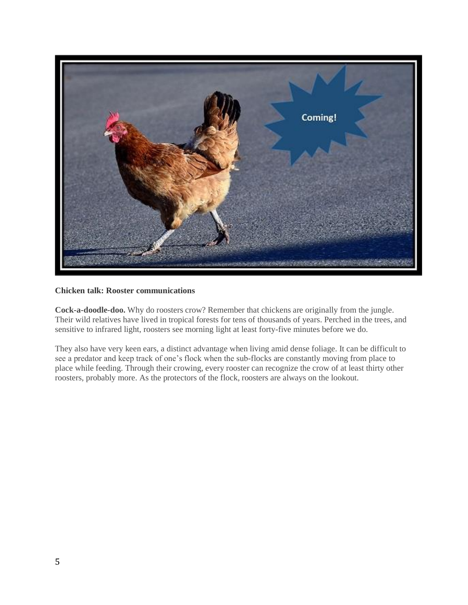

### **Chicken talk: Rooster communications**

**Cock-a-doodle-doo.** Why do roosters crow? Remember that chickens are originally from the jungle. Their wild relatives have lived in tropical forests for tens of thousands of years. Perched in the trees, and sensitive to infrared light, roosters see morning light at least forty-five minutes before we do.

They also have very keen ears, a distinct advantage when living amid dense foliage. It can be difficult to see a predator and keep track of one's flock when the sub-flocks are constantly moving from place to place while feeding. Through their crowing, every rooster can recognize the crow of at least thirty other roosters, probably more. As the protectors of the flock, roosters are always on the lookout.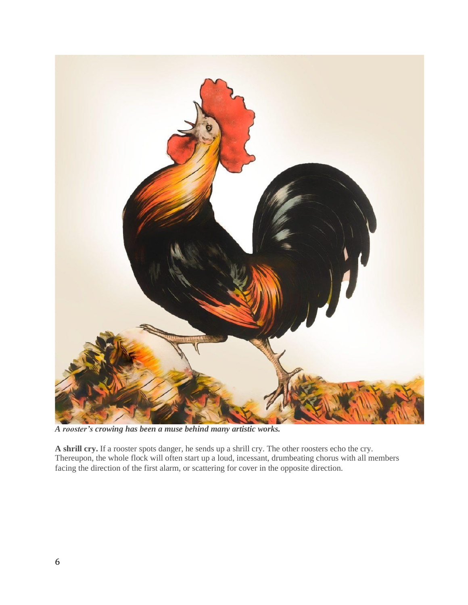

*A rooster's crowing has been a muse behind many artistic works.*

**A shrill cry.** If a rooster spots danger, he sends up a shrill cry. The other roosters echo the cry. Thereupon, the whole flock will often start up a loud, incessant, drumbeating chorus with all members facing the direction of the first alarm, or scattering for cover in the opposite direction.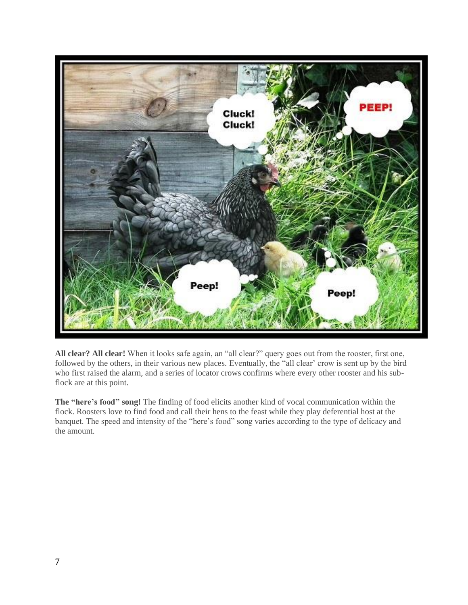

**All clear? All clear!** When it looks safe again, an "all clear?" query goes out from the rooster, first one, followed by the others, in their various new places. Eventually, the "all clear' crow is sent up by the bird who first raised the alarm, and a series of locator crows confirms where every other rooster and his subflock are at this point.

**The "here's food" song!** The finding of food elicits another kind of vocal communication within the flock. Roosters love to find food and call their hens to the feast while they play deferential host at the banquet. The speed and intensity of the "here's food" song varies according to the type of delicacy and the amount.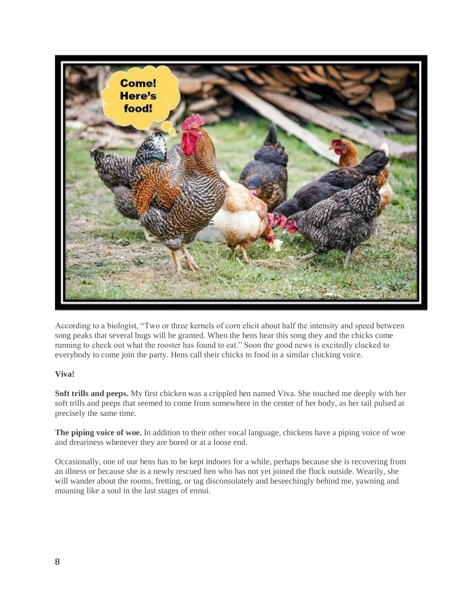

According to a biologist, "Two or three kernels of corn elicit about half the intensity and speed between song peaks that several bugs will be granted. When the hens hear this song they and the chicks come running to check out what the rooster has found to eat." Soon the good news is excitedly clucked to everybody to come join the party. Hens call their chicks to food in a similar clucking voice.

## **Viva!**

**Soft trills and peeps.** My first chicken was a crippled hen named Viva. She touched me deeply with her soft trills and peeps that seemed to come from somewhere in the center of her body, as her tail pulsed at precisely the same time.

**The piping voice of woe.** In addition to their other vocal language, chickens have a piping voice of woe and dreariness whenever they are bored or at a loose end.

Occasionally, one of our hens has to be kept indoors for a while, perhaps because she is recovering from an illness or because she is a newly rescued hen who has not yet joined the flock outside. Wearily, she will wander about the rooms, fretting, or tag disconsolately and beseechingly behind me, yawning and moaning like a soul in the last stages of ennui.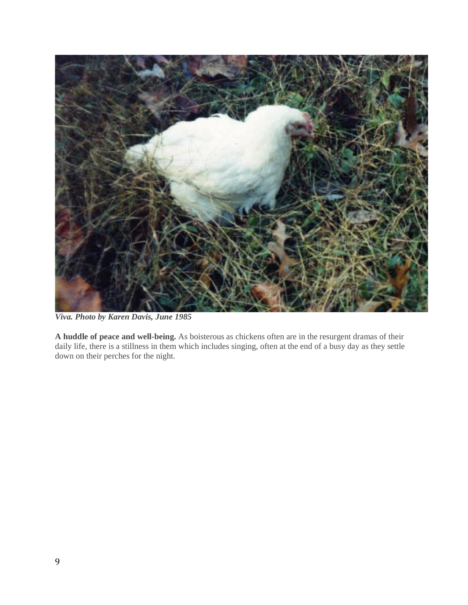

*Viva. Photo by Karen Davis, June 1985*

**A huddle of peace and well-being.** As boisterous as chickens often are in the resurgent dramas of their daily life, there is a stillness in them which includes singing, often at the end of a busy day as they settle down on their perches for the night.